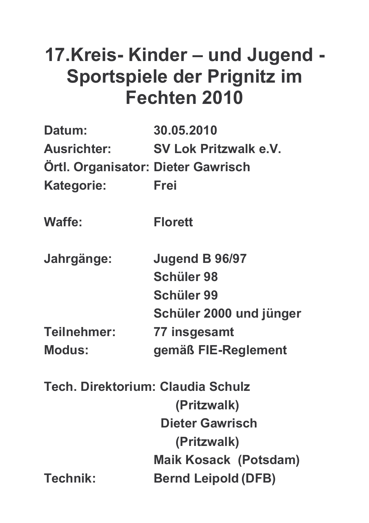# 17.Kreis-Kinder - und Jugend -Sportspiele der Prignitz im Fechten 2010

| Datum:                                    | 30.05.2010                   |
|-------------------------------------------|------------------------------|
| <b>Ausrichter:</b>                        | <b>SV Lok Pritzwalk e.V.</b> |
| <b>Ortl. Organisator: Dieter Gawrisch</b> |                              |
| <b>Kategorie:</b>                         | Frei                         |
| <b>Waffe:</b>                             | <b>Florett</b>               |
| Jahrgänge:                                | Jugend B 96/97               |
|                                           | <b>Schüler 98</b>            |
|                                           | <b>Schüler 99</b>            |
|                                           | Schüler 2000 und jünger      |
| Teilnehmer:                               | 77 insgesamt                 |
| <b>Modus:</b>                             | gemäß FIE-Reglement          |
| Tech. Direktorium: Claudia Schulz         |                              |
|                                           | (Pritzwalk)                  |
|                                           | <b>Dieter Gawrisch</b>       |
|                                           | (Pritzwalk)                  |
|                                           | <b>Maik Kosack (Potsdam)</b> |
| <b>Technik:</b>                           | <b>Bernd Leipold (DFB)</b>   |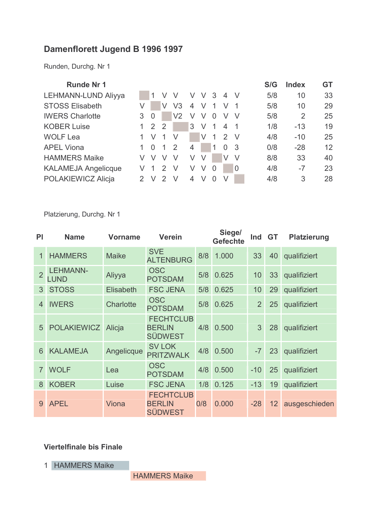### Damenflorett Jugend B 1996 1997

Runden, Durchg. Nr 1

| <b>Runde Nr 1</b>          |   |                |                |                |   |        |   |                          |                | S/G | <b>Index</b>   | <b>GT</b> |
|----------------------------|---|----------------|----------------|----------------|---|--------|---|--------------------------|----------------|-----|----------------|-----------|
| LEHMANN-LUND Aliyya        |   |                |                | V              | V | V      | 3 | 4                        | -V             | 5/8 | 10             | 33        |
| <b>STOSS Elisabeth</b>     |   |                | V              | V <sub>3</sub> | 4 | V      | 1 | V                        |                | 5/8 | 10             | 29        |
| <b>IWERS Charlotte</b>     | 3 | $\overline{0}$ |                | V <sub>2</sub> | V |        | 0 |                          |                | 5/8 | $\overline{2}$ | 25        |
| <b>KOBER Luise</b>         |   | 2              | $\overline{2}$ |                | 3 | $\vee$ | 1 | $\overline{\mathcal{A}}$ | $\overline{1}$ | 1/8 | $-13$          | 19        |
| <b>WOLF Lea</b>            |   | V              | 1              | V              |   | V      | 1 | 2                        | $\vee$         | 4/8 | $-10$          | 25        |
| <b>APEL Viona</b>          |   | $\Omega$       | 1              | 2              | 4 |        | 1 | $\Omega$                 | -3             | 0/8 | $-28$          | 12        |
| <b>HAMMERS Maike</b>       |   | V              | V              | V              | V | V      |   | V                        | V              | 8/8 | 33             | 40        |
| <b>KALAMEJA Angelicque</b> |   |                | $\mathcal{P}$  | V              | V | $\vee$ | 0 |                          | $\overline{0}$ | 4/8 | $-7$           | 23        |
| POLAKIEWICZ Alicja         |   | $\vee$         | 2              | $\vee$         | 4 |        | O |                          |                | 4/8 | 3              | 28        |
|                            |   |                |                |                |   |        |   |                          |                |     |                |           |

Platzierung, Durchg. Nr 1

| PI             | <b>Name</b>                    | <b>Vorname</b>   | <b>Verein</b>                                       |     | Siege/<br><b>Gefechte</b> | Ind            | <b>GT</b>         | <b>Platzierung</b> |
|----------------|--------------------------------|------------------|-----------------------------------------------------|-----|---------------------------|----------------|-------------------|--------------------|
| 1              | <b>HAMMERS</b>                 | <b>Maike</b>     | <b>SVE</b><br><b>ALTENBURG</b>                      | 8/8 | 1.000                     | 33             | 40                | qualifiziert       |
| $\overline{2}$ | <b>LEHMANN-</b><br><b>LUND</b> | Aliyya           | <b>OSC</b><br><b>POTSDAM</b>                        | 5/8 | 0.625                     | 10             | 33                | qualifiziert       |
| 3              | <b>STOSS</b>                   | <b>Elisabeth</b> | <b>FSC JENA</b>                                     | 5/8 | 0.625                     | 10             | 29                | qualifiziert       |
| 4              | <b>IWERS</b>                   | Charlotte        | <b>OSC</b><br><b>POTSDAM</b>                        | 5/8 | 0.625                     | $\overline{2}$ | 25                | qualifiziert       |
| 5              | <b>POLAKIEWICZ</b>             | Alicja           | <b>FECHTCLUB</b><br><b>BERLIN</b><br><b>SÜDWEST</b> | 4/8 | 0.500                     | 3              | 28                | qualifiziert       |
| 6              | <b>KALAMEJA</b>                | Angelicque       | <b>SV LOK</b><br><b>PRITZWALK</b>                   | 4/8 | 0.500                     | $-7$           | 23                | qualifiziert       |
| $\overline{7}$ | <b>WOLF</b>                    | Lea              | <b>OSC</b><br><b>POTSDAM</b>                        | 4/8 | 0.500                     | $-10$          | 25                | qualifiziert       |
| 8              | <b>KOBER</b>                   | Luise            | <b>FSC JENA</b>                                     | 1/8 | 0.125                     | $-13$          | 19                | qualifiziert       |
| 9              | <b>APEL</b>                    | Viona            | <b>FECHTCLUB</b><br><b>BERLIN</b><br><b>SÜDWEST</b> | 0/8 | 0.000                     | $-28$          | $12 \overline{ }$ | ausgeschieden      |

#### **Viertelfinale bis Finale**

1 HAMMERS Maike

**HAMMERS Maike**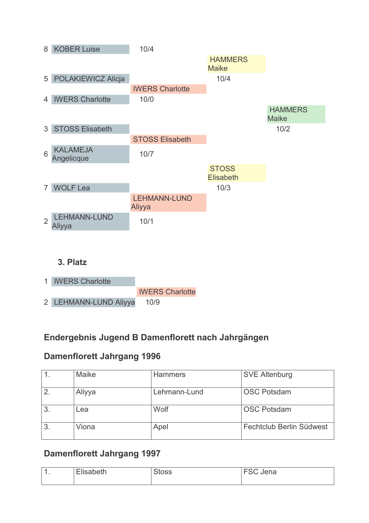

2 LEHMANN-LUND Aliyya  $10/9$ 

### Endergebnis Jugend B Damenflorett nach Jahrgängen

### **Damenflorett Jahrgang 1996**

|                | Maike  | <b>Hammers</b> | <b>SVE Altenburg</b>     |
|----------------|--------|----------------|--------------------------|
| $\overline{2}$ | Aliyya | Lehmann-Lund   | <b>OSC Potsdam</b>       |
| 3              | Lea    | Wolf           | <b>OSC Potsdam</b>       |
| 3              | Viona  | Apel           | Fechtclub Berlin Südwest |

### Damenflorett Jahrgang 1997

| $\boldsymbol{\mathcal{A}}$<br>л. | $- \cdot$<br>$\sim$ 11<br>- - - | <b>lena</b><br>. |
|----------------------------------|---------------------------------|------------------|
|                                  |                                 |                  |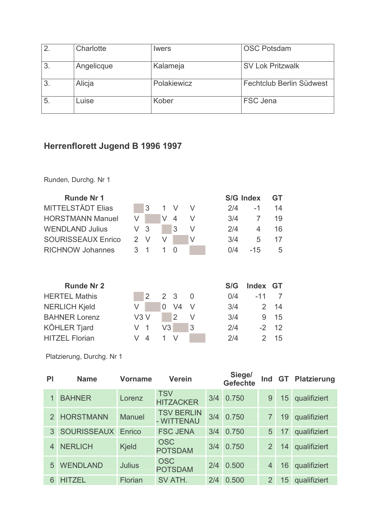| 2  | Charlotte  | <i>lwers</i> | <b>OSC Potsdam</b>       |
|----|------------|--------------|--------------------------|
| 3. | Angelicque | Kalameja     | <b>SV Lok Pritzwalk</b>  |
| 3. | Alicja     | Polakiewicz  | Fechtclub Berlin Südwest |
| 5  | Luise      | Kober        | <b>FSC Jena</b>          |

# Herrenflorett Jugend B 1996 1997

Runden, Durchg. Nr 1

| <b>Runde Nr 1</b>         |     |    |                 |                |   |     | S/G Index      | GT        |
|---------------------------|-----|----|-----------------|----------------|---|-----|----------------|-----------|
| <b>MITTELSTÄDT Elias</b>  |     | 3  | 1               | V              | V | 2/4 | -1             | 14        |
| <b>HORSTMANN Manuel</b>   | V   |    | V               | 4              | V | 3/4 | $\overline{7}$ | 19        |
| <b>WENDLAND Julius</b>    | V   | 3  |                 | 3              | V | 2/4 | 4              | 16        |
| <b>SOURISSEAUX Enrico</b> | 2   | V  | V               |                | V | 3/4 | 5              | 17        |
| <b>RICHNOW Johannes</b>   | 3   | 1  | 1               | 0              |   | 0/4 | $-15$          | 5         |
| <b>Runde Nr 2</b>         |     |    |                 |                |   | S/G | <b>Index</b>   | <b>GT</b> |
| <b>HERTEL Mathis</b>      |     | 2  | $\mathcal{P}^-$ | -3             | 0 | 0/4 | -11            | 7         |
| <b>NERLICH Kjeld</b>      | V   |    | 0               | V <sub>4</sub> | V | 3/4 | $\overline{2}$ | 14        |
| <b>BAHNER Lorenz</b>      | V3V |    |                 | $\overline{2}$ | V | 3/4 | 9              | 15        |
| <b>KÖHLER Tjard</b>       | V   | -1 | V3              |                | 3 | 2/4 | $-2$           | 12        |
| <b>HITZEL Florian</b>     | V   | 4  | 1               | $\vee$         |   | 2/4 | $\overline{2}$ | 15        |

| PI            | <b>Name</b>        | <b>Vorname</b> | <b>Verein</b>                   |     | Siege/<br><b>Gefechte</b> | Ind            |    | <b>GT</b> Platzierung |
|---------------|--------------------|----------------|---------------------------------|-----|---------------------------|----------------|----|-----------------------|
|               | <b>BAHNER</b>      | Lorenz         | <b>TSV</b><br><b>HITZACKER</b>  | 3/4 | 0.750                     | 9              | 15 | qualifiziert          |
| $\mathcal{P}$ | <b>HORSTMANN</b>   | <b>Manuel</b>  | <b>TSV BERLIN</b><br>- WITTENAU | 3/4 | 0.750                     | 7              | 19 | qualifiziert          |
| 3             | <b>SOURISSEAUX</b> | Enrico         | <b>FSC JENA</b>                 | 3/4 | 0.750                     | 5              | 17 | qualifiziert          |
|               | <b>NERLICH</b>     | <b>Kjeld</b>   | <b>OSC</b><br><b>POTSDAM</b>    | 3/4 | 0.750                     | $\overline{2}$ | 14 | qualifiziert          |
| 5             | <b>WENDLAND</b>    | <b>Julius</b>  | <b>OSC</b><br><b>POTSDAM</b>    | 2/4 | 0.500                     | $\overline{4}$ | 16 | qualifiziert          |
| 6             | <b>HITZEL</b>      | Florian        | SV ATH.                         | 2/4 | 0.500                     | $\overline{2}$ | 15 | qualifiziert          |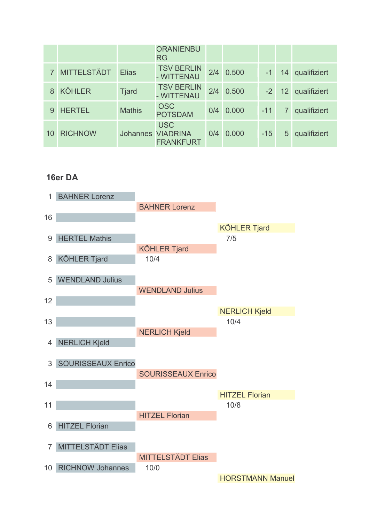|    |                    |               | <b>ORANIENBU</b><br><b>RG</b>                              |     |       |       |                 |              |
|----|--------------------|---------------|------------------------------------------------------------|-----|-------|-------|-----------------|--------------|
|    | <b>MITTELSTÄDT</b> | <b>Elias</b>  | <b>TSV BERLIN</b><br>- WITTENAU                            | 2/4 | 0.500 | $-1$  | 14              | qualifiziert |
| 8  | <b>KÖHLER</b>      | <b>Tjard</b>  | <b>TSV BERLIN</b><br>- WITTENAU                            | 2/4 | 0.500 | $-2$  | 12 <sup>2</sup> | qualifiziert |
|    | <b>HERTEL</b>      | <b>Mathis</b> | <b>OSC</b><br><b>POTSDAM</b>                               | 0/4 | 0.000 | $-11$ |                 | qualifiziert |
| 10 | <b>RICHNOW</b>     |               | <b>USC</b><br><b>Johannes VIADRINA</b><br><b>FRANKFURT</b> | 0/4 | 0.000 | $-15$ | 5               | qualifiziert |

#### 16er DA

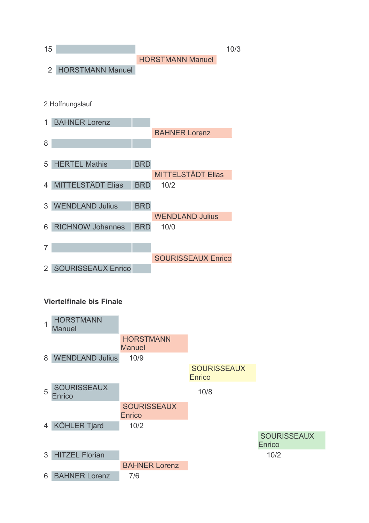

- 4 MITTELSTÄDT Elias **BRD**  $10/2$
- 3 WENDLAND Julius **BRD WENDLAND Julius** 6 RICHNOW Johannes **BRD**  $10/0$  $\overline{7}$ **SOURISSEAUX Enrico** 2 SOURISSEAUX Enrico

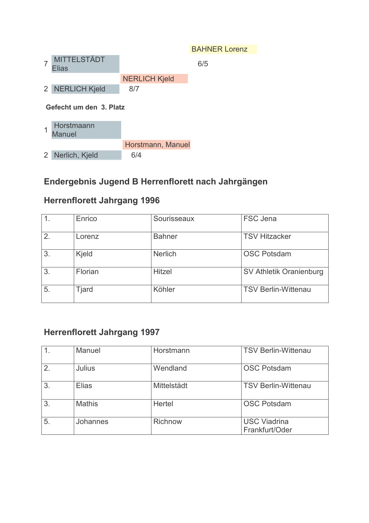|                |                                    |                      | <b>BAHNER Lorenz</b> |
|----------------|------------------------------------|----------------------|----------------------|
|                | <b>MITTELSTÄDT</b><br><b>Elias</b> |                      | 6/5                  |
|                |                                    | <b>NERLICH Kjeld</b> |                      |
| $\overline{2}$ | <b>NERLICH Kjeld</b>               | 8/7                  |                      |
|                |                                    |                      |                      |
|                | Gefecht um den 3. Platz            |                      |                      |
|                | Horstmaann<br><b>Manuel</b>        |                      |                      |
|                |                                    | Horstmann, Manuel    |                      |

# Endergebnis Jugend B Herrenflorett nach Jahrgängen

### **Herrenflorett Jahrgang 1996**

|    | Enrico       | Sourisseaux    | FSC Jena                   |
|----|--------------|----------------|----------------------------|
|    |              |                |                            |
| 2. | Lorenz       | <b>Bahner</b>  | <b>TSV Hitzacker</b>       |
|    |              |                |                            |
| 3. | Kjeld        | <b>Nerlich</b> | <b>OSC Potsdam</b>         |
|    |              |                |                            |
| 3. | Florian      | <b>Hitzel</b>  | SV Athletik Oranienburg    |
|    |              |                |                            |
| 5. | <b>Tjard</b> | Köhler         | <b>TSV Berlin-Wittenau</b> |
|    |              |                |                            |

# **Herrenflorett Jahrgang 1997**

|                  | Manuel          | Horstmann      | <b>TSV Berlin-Wittenau</b>            |
|------------------|-----------------|----------------|---------------------------------------|
| $\overline{2}$ . | Julius          | Wendland       | <b>OSC Potsdam</b>                    |
| 3                | <b>Elias</b>    | Mittelstädt    | <b>TSV Berlin-Wittenau</b>            |
| 3 <sub>1</sub>   | <b>Mathis</b>   | Hertel         | <b>OSC Potsdam</b>                    |
| 5 <sub>1</sub>   | <b>Johannes</b> | <b>Richnow</b> | <b>USC Viadrina</b><br>Frankfurt/Oder |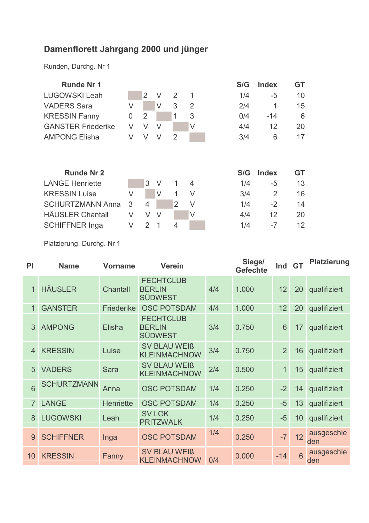# Damenflorett Jahrgang 2000 und jünger

Runden, Durchg. Nr 1

| 10        |
|-----------|
| 15        |
| 6         |
| 20        |
| 17        |
|           |
| <b>GT</b> |
| 13        |
| 16        |
| 14        |
| 20        |
|           |

| PI             | <b>Name</b>        | <b>Vorname</b>   | <b>Verein</b>                                       |     | Siege/<br><b>Gefechte</b> | Ind GT |    | <b>Platzierung</b> |
|----------------|--------------------|------------------|-----------------------------------------------------|-----|---------------------------|--------|----|--------------------|
| $\overline{1}$ | <b>HÄUSLER</b>     | Chantall         | <b>FECHTCLUB</b><br><b>BERLIN</b><br><b>SÜDWEST</b> | 4/4 | 1.000                     | 12     | 20 | qualifiziert       |
| 1              | <b>GANSTER</b>     | Friederike       | <b>OSC POTSDAM</b>                                  | 4/4 | 1.000                     | 12     | 20 | qualifiziert       |
| 3              | <b>AMPONG</b>      | Elisha           | <b>FECHTCLUB</b><br><b>BERLIN</b><br><b>SÜDWEST</b> | 3/4 | 0.750                     | 6      | 17 | qualifiziert       |
| $\overline{4}$ | <b>KRESSIN</b>     | Luise            | <b>SV BLAU WEIß</b><br><b>KLEINMACHNOW</b>          | 3/4 | 0.750                     | 2      | 16 | qualifiziert       |
| 5              | <b>VADERS</b>      | Sara             | <b>SV BLAU WEIß</b><br><b>KLEINMACHNOW</b>          | 2/4 | 0.500                     | 1      | 15 | qualifiziert       |
| 6              | <b>SCHURTZMANN</b> | Anna             | <b>OSC POTSDAM</b>                                  | 1/4 | 0.250                     | $-2$   | 14 | qualifiziert       |
| $\overline{7}$ | <b>LANGE</b>       | <b>Henriette</b> | <b>OSC POTSDAM</b>                                  | 1/4 | 0.250                     | $-5$   | 13 | qualifiziert       |
| 8              | <b>LUGOWSKI</b>    | Leah             | <b>SV LOK</b><br><b>PRITZWALK</b>                   | 1/4 | 0.250                     | $-5$   | 10 | qualifiziert       |
| 9              | <b>SCHIFFNER</b>   | Inga             | <b>OSC POTSDAM</b>                                  | 1/4 | 0.250                     | $-7$   | 12 | ausgeschie<br>den  |
| 10             | <b>KRESSIN</b>     | Fanny            | <b>SV BLAU WEIß</b><br><b>KLEINMACHNOW</b>          | 0/4 | 0.000                     | $-14$  | 6  | ausgeschie<br>den  |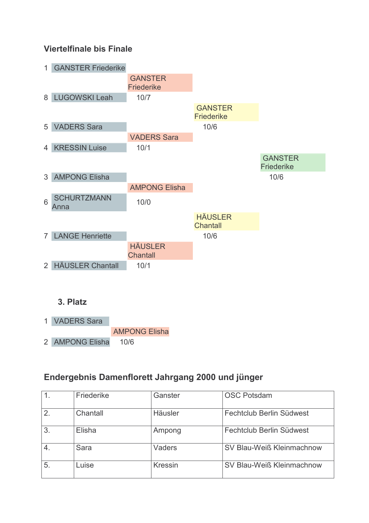

#### 3. Platz

1 VADERS Sara **AMPONG Elisha** 2 AMPONG Elisha  $10/6$ 

### Endergebnis Damenflorett Jahrgang 2000 und jünger

|                | Friederike | Ganster        | <b>OSC Potsdam</b>        |
|----------------|------------|----------------|---------------------------|
| $\overline{2}$ | Chantall   | Häusler        | Fechtclub Berlin Südwest  |
| 3.             | Elisha     | Ampong         | Fechtclub Berlin Südwest  |
|                | Sara       | Vaders         | SV Blau-Weiß Kleinmachnow |
| 5.             | Luise      | <b>Kressin</b> | SV Blau-Weiß Kleinmachnow |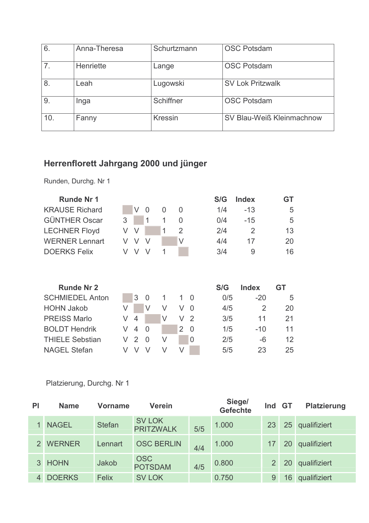| 6.             | Anna-Theresa | Schurtzmann    | <b>OSC Potsdam</b>        |
|----------------|--------------|----------------|---------------------------|
| 7 <sub>1</sub> | Henriette    | Lange          | <b>OSC Potsdam</b>        |
| 8.             | Leah         | Lugowski       | <b>SV Lok Pritzwalk</b>   |
| 9.             | Inga         | Schiffner      | <b>OSC Potsdam</b>        |
| 10.            | Fanny        | <b>Kressin</b> | SV Blau-Weiß Kleinmachnow |

# Herrenflorett Jahrgang 2000 und jünger

Runden, Durchg. Nr 1

| <b>Runde Nr 1</b>      |   |                |          |   |                |                | S/G | <b>Index</b>   | <b>GT</b> |
|------------------------|---|----------------|----------|---|----------------|----------------|-----|----------------|-----------|
| <b>KRAUSE Richard</b>  |   | V              | 0        | 0 | 0              |                | 1/4 | $-13$          | 5         |
| <b>GÜNTHER Oscar</b>   | 3 |                | 1        | 1 | 0              |                | 0/4 | $-15$          | 5         |
| <b>LECHNER Floyd</b>   | V | V              |          | 1 | $\overline{2}$ |                | 2/4 | $\overline{2}$ | 13        |
| <b>WERNER Lennart</b>  | V | V              | V        |   | V              |                | 4/4 | 17             | 20        |
| <b>DOERKS Felix</b>    | V | V              | V        | 1 |                |                | 3/4 | 9              | 16        |
| <b>Runde Nr 2</b>      |   |                |          |   |                |                | S/G | Index          | GT        |
| <b>SCHMIEDEL Anton</b> |   | 3              | $\Omega$ | 1 | 1              | $\overline{0}$ | 0/5 | $-20$          | 5         |
| <b>HOHN Jakob</b>      | V |                | V        | V | V              | $\Omega$       | 4/5 | 2              | 20        |
|                        |   |                |          |   |                |                |     |                |           |
| <b>PREISS Marlo</b>    | V | $\overline{4}$ |          | V | V              | 2              | 3/5 | 11             | 21        |
| <b>BOLDT Hendrik</b>   | V | $\overline{4}$ | $\Omega$ |   | 2              | 0              | 1/5 | $-10$          | 11        |
| <b>THIELE Sebstian</b> | V | 2              | $\Omega$ | V |                | 0              | 2/5 | -6             | 12        |
| <b>NAGEL Stefan</b>    | V | V              | V        | V | V              |                | 5/5 | 23             | 25        |

| PI | <b>Name</b>   | Vorname       | <b>Verein</b>                     |     | Siege/<br><b>Gefechte</b> | Ind           | <b>GT</b> | <b>Platzierung</b> |
|----|---------------|---------------|-----------------------------------|-----|---------------------------|---------------|-----------|--------------------|
|    | <b>NAGEL</b>  | <b>Stefan</b> | <b>SV LOK</b><br><b>PRITZWALK</b> | 5/5 | 1.000                     | 23            | 25        | qualifiziert       |
|    | <b>WERNER</b> | Lennart       | <b>OSC BERLIN</b>                 | 4/4 | 1.000                     |               | 20        | qualifiziert       |
|    | <b>HOHN</b>   | Jakob         | <b>OSC</b><br><b>POTSDAM</b>      | 4/5 | 0.800                     | $\mathcal{P}$ | 20        | qualifiziert       |
|    | <b>DOERKS</b> | <b>Felix</b>  | <b>SV LOK</b>                     |     | 0.750                     | 9             | 16        | qualifiziert       |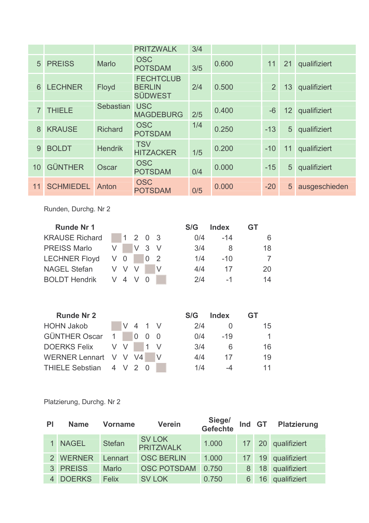|                |                  |                | <b>PRITZWALK</b>                                    | 3/4 |       |                |                 |               |
|----------------|------------------|----------------|-----------------------------------------------------|-----|-------|----------------|-----------------|---------------|
| 5              | <b>PREISS</b>    | <b>Marlo</b>   | <b>OSC</b><br><b>POTSDAM</b>                        | 3/5 | 0.600 | 11             | 21              | qualifiziert  |
| 6              | <b>LECHNER</b>   | <b>Floyd</b>   | <b>FECHTCLUB</b><br><b>BERLIN</b><br><b>SÜDWEST</b> | 2/4 | 0.500 | 2 <sup>1</sup> | 13 <sup>1</sup> | qualifiziert  |
| $\overline{7}$ | <b>THIELE</b>    | Sebastian      | <b>USC</b><br><b>MAGDEBURG</b>                      | 2/5 | 0.400 | $-6$           | 12 <sup>1</sup> | qualifiziert  |
| 8              | <b>KRAUSE</b>    | <b>Richard</b> | <b>OSC</b><br><b>POTSDAM</b>                        | 1/4 | 0.250 | $-13$          | 5               | qualifiziert  |
| 9              | <b>BOLDT</b>     | <b>Hendrik</b> | <b>TSV</b><br><b>HITZACKER</b>                      | 1/5 | 0.200 | $-10$          | 11              | qualifiziert  |
| 10             | <b>GÜNTHER</b>   | Oscar          | <b>OSC</b><br><b>POTSDAM</b>                        | 0/4 | 0.000 | $-15$          | 5 <sup>5</sup>  | qualifiziert  |
| 11             | <b>SCHMIEDEL</b> | Anton          | <b>OSC</b><br><b>POTSDAM</b>                        | 0/5 | 0.000 | $-20$          | 5 <sup>5</sup>  | ausgeschieden |

Runden, Durchg. Nr 2

| <b>Runde Nr 1</b>     |     |              |       |     |   | S/G | <b>Index</b> | GT |
|-----------------------|-----|--------------|-------|-----|---|-----|--------------|----|
| <b>KRAUSE Richard</b> |     | $\mathbf{1}$ | 2 0 3 |     |   | 0/4 | $-14$        | 6  |
| <b>PREISS Marlo</b>   | V   |              | V     | 3 V |   | 3/4 | 8            | 18 |
| <b>LECHNER Floyd</b>  | V   | 0            |       | 0   | 2 | 1/4 | $-10$        | 7  |
| <b>NAGEL Stefan</b>   | V V |              |       |     | V | 4/4 | 17           | 20 |
| <b>BOLDT Hendrik</b>  |     | V 4 V        |       |     |   | 2/4 | $-1$         | 14 |
|                       |     |              |       |     |   |     |              |    |
| <b>Runde Nr 2</b>     |     |              |       |     |   | S/G | Index        |    |

|                         |  |         |  |     | .         |              |
|-------------------------|--|---------|--|-----|-----------|--------------|
| <b>HOHN Jakob</b>       |  | V 4 1 V |  | 2/4 |           | 15           |
| GÜNTHER Oscar 1 0 0 0   |  |         |  |     | $0/4$ -19 | $\mathbf{1}$ |
| DOERKS Felix V V 1 V    |  |         |  | 3/4 | - 6       | 16           |
| WERNER Lennart V V V4 V |  |         |  | 4/4 | 17        | 19           |
| THIELE Sebstian 4 V 2 0 |  |         |  | 1/4 | $-4$      | 11           |

| PI | <b>Name</b>   | <b>Vorname</b> | <b>Verein</b>                     | Siege/<br>Gefechte | Ind GT |    | <b>Platzierung</b> |
|----|---------------|----------------|-----------------------------------|--------------------|--------|----|--------------------|
|    | <b>NAGEL</b>  | <b>Stefan</b>  | <b>SV LOK</b><br><b>PRITZWALK</b> | 1.000              |        |    | 17 20 qualifiziert |
|    | <b>WERNER</b> | Lennart        | <b>OSC BERLIN</b>                 | 1.000              |        | 19 | qualifiziert       |
| 3  | <b>PREISS</b> | <b>Marlo</b>   | <b>OSC POTSDAM</b>                | 0.750              | 8      | 18 | qualifiziert       |
|    | <b>DOERKS</b> | Felix          | <b>SV LOK</b>                     | 0.750              |        | 16 | qualifiziert       |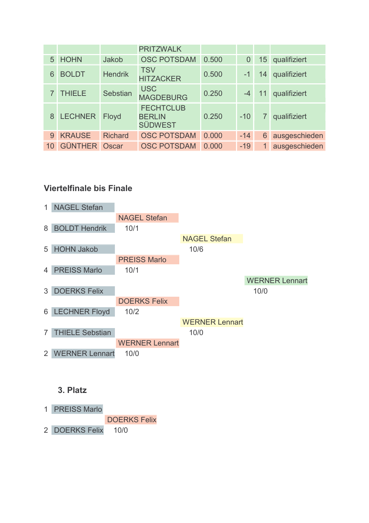|    |                      |                | <b>PRITZWALK</b>                                    |       |       |    |               |
|----|----------------------|----------------|-----------------------------------------------------|-------|-------|----|---------------|
| 5  | <b>HOHN</b>          | Jakob          | <b>OSC POTSDAM</b>                                  | 0.500 | 0     | 15 | qualifiziert  |
| 6  | <b>BOLDT</b>         | <b>Hendrik</b> | <b>TSV</b><br><b>HITZACKER</b>                      | 0.500 | $-1$  | 14 | qualifiziert  |
|    | <b>THIELE</b>        | Sebstian       | <b>USC</b><br><b>MAGDEBURG</b>                      | 0.250 |       | 11 | qualifiziert  |
| 8  | <b>LECHNER</b>       | Floyd          | <b>FECHTCLUB</b><br><b>BERLIN</b><br><b>SÜDWEST</b> | 0.250 | $-10$ |    | qualifiziert  |
| 9  | <b>KRAUSE</b>        | <b>Richard</b> | <b>OSC POTSDAM</b>                                  | 0.000 | $-14$ | 6  | ausgeschieden |
| 10 | <b>GÜNTHER Oscar</b> |                | <b>OSC POTSDAM</b>                                  | 0.000 | $-19$ |    | ausgeschieden |



- **DOERKS Felix**
- 2 DOERKS Felix  $10/0$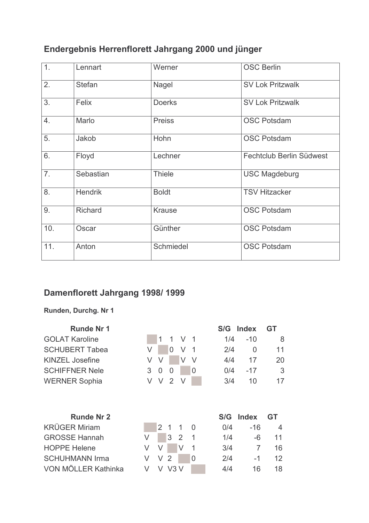# Endergebnis Herrenflorett Jahrgang 2000 und jünger

| 1.               | Lennart        | Werner        | <b>OSC Berlin</b>        |
|------------------|----------------|---------------|--------------------------|
| 2.               | <b>Stefan</b>  | Nagel         | <b>SV Lok Pritzwalk</b>  |
| 3.               | Felix          | <b>Doerks</b> | <b>SV Lok Pritzwalk</b>  |
| 4.               | Marlo          | <b>Preiss</b> | <b>OSC Potsdam</b>       |
| 5.               | Jakob          | Hohn          | <b>OSC Potsdam</b>       |
| $\overline{6}$ . | Floyd          | Lechner       | Fechtclub Berlin Südwest |
| 7.               | Sebastian      | <b>Thiele</b> | <b>USC Magdeburg</b>     |
| 8.               | <b>Hendrik</b> | <b>Boldt</b>  | <b>TSV Hitzacker</b>     |
| 9.               | Richard        | <b>Krause</b> | <b>OSC Potsdam</b>       |
| 10.              | Oscar          | Günther       | <b>OSC Potsdam</b>       |
| 11.              | Anton          | Schmiedel     | <b>OSC Potsdam</b>       |

# Damenflorett Jahrgang 1998/1999

#### Runden, Durchg. Nr 1

| <b>Runde Nr 1</b>      |   |                |                |   |                | S/G | <b>Index</b> | GT |
|------------------------|---|----------------|----------------|---|----------------|-----|--------------|----|
| <b>GOLAT Karoline</b>  |   | 1              | 1              | V | -1             | 1/4 | $-10$        | 8  |
| <b>SCHUBERT Tabea</b>  | V |                | $\overline{0}$ | V | 1              | 2/4 | 0            | 11 |
| <b>KINZEL Josefine</b> | V | V              |                | V | V              | 4/4 | 17           | 20 |
| <b>SCHIFFNER Nele</b>  | 3 | 0              | 0              |   | 0              | 0/4 | $-17$        | 3  |
| <b>WERNER Sophia</b>   | V | V              | 2              | V |                | 3/4 | 10           | 17 |
| <b>Runde Nr 2</b>      |   |                |                |   |                | S/G | <b>Index</b> | GT |
| <b>KRÜGER Miriam</b>   |   | $\overline{2}$ | -1             | 1 | $\Omega$       | 0/4 | $-16$        | 4  |
| <b>GROSSE Hannah</b>   | V |                | 3              | 2 | 1              | 1/4 | -6           | 11 |
| <b>HOPPE Helene</b>    | V | V              |                | V | 1              | 3/4 | 7            | 16 |
| <b>SCHUHMANN Irma</b>  | V | V              | 2              |   | $\overline{0}$ | 2/4 | -1           | 12 |
| VON MÖLLER Kathinka    | V | V              | V3V            |   |                | 4/4 | 16           | 18 |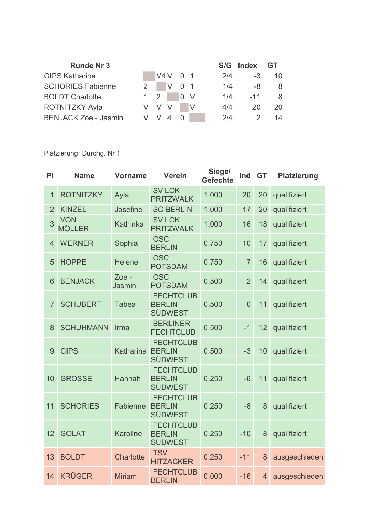| <b>Runde Nr 3</b>           |                   |          |                  |     | S/G Index GT |    |
|-----------------------------|-------------------|----------|------------------|-----|--------------|----|
| <b>GIPS Katharina</b>       |                   | V4 V 0 1 |                  | 2/4 | -3           | 10 |
| <b>SCHORIES Fabienne</b>    | $2^{\frac{1}{2}}$ | $V$ 0 1  |                  | 1/4 | -8           | 8  |
| <b>BOLDT Charlotte</b>      | $1 \quad 2$       |          | $\overline{0}$ V | 1/4 | $-11$        | -8 |
| <b>ROTNITZKY Ayla</b>       |                   |          |                  | 4/4 | 20           | 20 |
| <b>BENJACK Zoe - Jasmin</b> |                   | V V 4    |                  | 2/4 |              |    |

| PI             | <b>Name</b>                 | <b>Vorname</b>   | <b>Verein</b>                                       | Siege/<br><b>Gefechte</b> | Ind            | <b>GT</b>      | <b>Platzierung</b> |
|----------------|-----------------------------|------------------|-----------------------------------------------------|---------------------------|----------------|----------------|--------------------|
| 1              | <b>ROTNITZKY</b>            | Ayla             | <b>SV LOK</b><br><b>PRITZWALK</b>                   | 1.000                     | 20             | 20             | qualifiziert       |
| $\overline{2}$ | <b>KINZEL</b>               | Josefine         | <b>SC BERLIN</b>                                    | 1.000                     | 17             | 20             | qualifiziert       |
| 3              | <b>VON</b><br><b>MÖLLER</b> | Kathinka         | <b>SV LOK</b><br><b>PRITZWALK</b>                   | 1.000                     | 16             | 18             | qualifiziert       |
| $\overline{4}$ | <b>WERNER</b>               | Sophia           | <b>OSC</b><br><b>BERLIN</b>                         | 0.750                     | 10             | 17             | qualifiziert       |
| 5              | <b>HOPPE</b>                | <b>Helene</b>    | <b>OSC</b><br><b>POTSDAM</b>                        | 0.750                     | $\overline{7}$ | 16             | qualifiziert       |
| 6              | <b>BENJACK</b>              | Zoe -<br>Jasmin  | <b>OSC</b><br><b>POTSDAM</b>                        | 0.500                     | $\overline{2}$ | 14             | qualifiziert       |
| $\overline{7}$ | <b>SCHUBERT</b>             | <b>Tabea</b>     | <b>FECHTCLUB</b><br><b>BERLIN</b><br><b>SÜDWEST</b> | 0.500                     | $\overline{0}$ | 11             | qualifiziert       |
| 8              | <b>SCHUHMANN</b>            | Irma             | <b>BERLINER</b><br><b>FECHTCLUB</b>                 | 0.500                     | $-1$           | 12             | qualifiziert       |
| 9              | <b>GIPS</b>                 | Katharina        | <b>FECHTCLUB</b><br><b>BERLIN</b><br><b>SÜDWEST</b> | 0.500                     | $-3$           | 10             | qualifiziert       |
| 10             | <b>GROSSE</b>               | Hannah           | <b>FECHTCLUB</b><br><b>BERLIN</b><br><b>SÜDWEST</b> | 0.250                     | $-6$           | 11             | qualifiziert       |
| 11             | <b>SCHORIES</b>             | Fabienne         | <b>FECHTCLUB</b><br><b>BERLIN</b><br><b>SÜDWEST</b> | 0.250                     | $-8$           | 8              | qualifiziert       |
| 12             | <b>GOLAT</b>                | <b>Karoline</b>  | <b>FECHTCLUB</b><br><b>BERLIN</b><br><b>SÜDWEST</b> | 0.250                     | $-10$          | 8              | qualifiziert       |
| 13             | <b>BOLDT</b>                | <b>Charlotte</b> | <b>TSV</b><br><b>HITZACKER</b>                      | 0.250                     | $-11$          | 8              | ausgeschieden      |
| 14             | <b>KRÜGER</b>               | <b>Miriam</b>    | <b>FECHTCLUB</b><br><b>BERLIN</b>                   | 0.000                     | $-16$          | $\overline{4}$ | ausgeschieden      |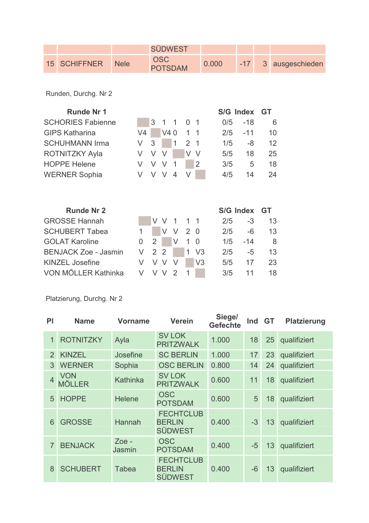|              |             | SÜDWEST                      |       |  |                     |
|--------------|-------------|------------------------------|-------|--|---------------------|
| 15 SCHIFFNER | <b>Nele</b> | <b>OSC</b><br><b>POTSDAM</b> | 0.000 |  | -17 3 ausgeschieden |

Runden, Durchg. Nr 2

| <b>Runde Nr 1</b>        |    |   |                |                |                |        |     | S/G Index GT |    |
|--------------------------|----|---|----------------|----------------|----------------|--------|-----|--------------|----|
| <b>SCHORIES Fabienne</b> |    | 3 | $\overline{1}$ | $\overline{1}$ | 0 <sub>1</sub> |        | 0/5 | $-18$        | 6  |
| <b>GIPS Katharina</b>    | V4 |   | V4 0           |                |                |        | 2/5 | $-11$        | 10 |
| <b>SCHUHMANN Irma</b>    |    | 3 |                |                |                |        | 1/5 | -8           | 12 |
| <b>ROTNITZKY Ayla</b>    | V  |   | V              |                |                | $\vee$ | 5/5 | 18           | 25 |
| <b>HOPPE Helene</b>      | V  |   | V              |                |                |        | 3/5 | 5            | 18 |
| <b>WERNER Sophia</b>     |    |   |                | 4              |                |        | 4/5 | 14           | 24 |
|                          |    |   |                |                |                |        |     |              |    |

| <b>Runde Nr 2</b>           |         |                |           |      |                |     | S/G Index GT |     |
|-----------------------------|---------|----------------|-----------|------|----------------|-----|--------------|-----|
| <b>GROSSE Hannah</b>        |         |                | V V 1 1 1 |      |                | 2/5 | $-3$         | 13  |
| <b>SCHUBERT Tabea</b>       |         |                | V V 2 0   |      |                | 2/5 | -6           | 13  |
| <b>GOLAT Karoline</b>       |         | 2 <sup>1</sup> |           | $10$ |                | 1/5 | $-14$        | - 8 |
| <b>BENJACK Zoe - Jasmin</b> | $V$ 2 2 |                |           |      | $1 \text{ V3}$ | 2/5 | $-5$         | 13  |
| <b>KINZEL Josefine</b>      |         | V V            |           |      | V <sub>3</sub> | 5/5 | 17           | 23  |
| VON MÖLLER Kathinka         | V V V   |                |           |      |                | 3/5 | 11           | 18. |

| PI             | <b>Name</b>                 | <b>Vorname</b>         | <b>Verein</b>                                       | Siege/<br><b>Gefechte</b> | Ind  | <b>GT</b> | <b>Platzierung</b> |
|----------------|-----------------------------|------------------------|-----------------------------------------------------|---------------------------|------|-----------|--------------------|
| 1              | <b>ROTNITZKY</b>            | Ayla                   | <b>SV LOK</b><br><b>PRITZWALK</b>                   | 1.000                     | 18   | 25        | qualifiziert       |
| $\overline{2}$ | <b>KINZEL</b>               | Josefine               | <b>SC BERLIN</b>                                    | 1.000                     | 17   | 23        | qualifiziert       |
| 3              | <b>WERNER</b>               | Sophia                 | <b>OSC BERLIN</b>                                   | 0.800                     | 14   | 24        | qualifiziert       |
|                | <b>VON</b><br><b>MÖLLER</b> | Kathinka               | <b>SV LOK</b><br><b>PRITZWALK</b>                   | 0.600                     | 11   | 18        | qualifiziert       |
| 5              | <b>HOPPE</b>                | <b>Helene</b>          | <b>OSC</b><br><b>POTSDAM</b>                        | 0.600                     | 5    | 18        | qualifiziert       |
| 6              | <b>GROSSE</b>               | Hannah                 | <b>FECHTCLUB</b><br><b>BERLIN</b><br><b>SÜDWEST</b> | 0.400                     | $-3$ | 13        | qualifiziert       |
| $\overline{7}$ | <b>BENJACK</b>              | Zoe -<br><b>Jasmin</b> | <b>OSC</b><br><b>POTSDAM</b>                        | 0.400                     | $-5$ | 13        | qualifiziert       |
| 8              | <b>SCHUBERT</b>             | Tabea                  | <b>FECHTCLUB</b><br><b>BERLIN</b><br><b>SÜDWEST</b> | 0.400                     | $-6$ | 13        | qualifiziert       |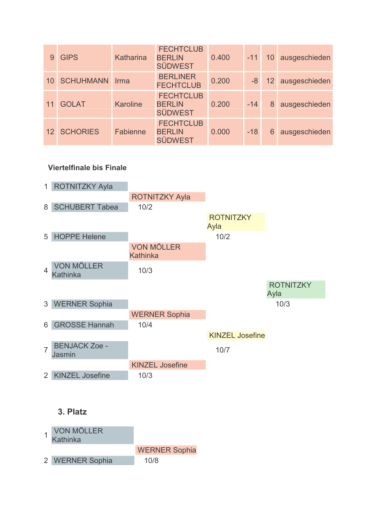|    | <b>GIPS</b>      | Katharina       | <b>FECHTCLUB</b><br><b>BERLIN</b><br><b>SÜDWEST</b> | 0.400 | $-11$ |   | 10 ausgeschieden    |
|----|------------------|-----------------|-----------------------------------------------------|-------|-------|---|---------------------|
| 10 | <b>SCHUHMANN</b> | Irma            | <b>BERLINER</b><br><b>FECHTCLUB</b>                 | 0.200 |       |   | -8 12 ausgeschieden |
|    | <b>GOLAT</b>     | <b>Karoline</b> | <b>FECHTCLUB</b><br><b>BERLIN</b><br><b>SÜDWEST</b> | 0.200 | $-14$ | 8 | ausgeschieden       |
|    | 12 SCHORIES      | Fabienne        | <b>FECHTCLUB</b><br><b>BERLIN</b><br><b>SÜDWEST</b> | 0.000 | $-18$ | 6 | ausgeschieden       |



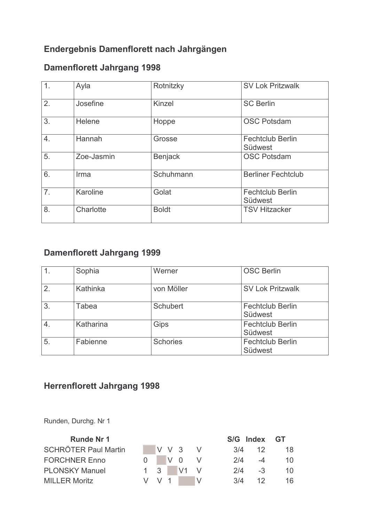### Endergebnis Damenflorett nach Jahrgängen

# **Damenflorett Jahrgang 1998**

| 1. | Ayla       | Rotnitzky      | <b>SV Lok Pritzwalk</b>            |
|----|------------|----------------|------------------------------------|
| 2. | Josefine   | Kinzel         | <b>SC Berlin</b>                   |
| 3. | Helene     | Hoppe          | <b>OSC Potsdam</b>                 |
| 4. | Hannah     | Grosse         | <b>Fechtclub Berlin</b><br>Südwest |
| 5. | Zoe-Jasmin | <b>Benjack</b> | <b>OSC Potsdam</b>                 |
| 6. | Irma       | Schuhmann      | <b>Berliner Fechtclub</b>          |
| 7. | Karoline   | Golat          | <b>Fechtclub Berlin</b><br>Südwest |
| 8. | Charlotte  | <b>Boldt</b>   | <b>TSV Hitzacker</b>               |

### **Damenflorett Jahrgang 1999**

| 1.               | Sophia    | Werner          | <b>OSC Berlin</b>                  |
|------------------|-----------|-----------------|------------------------------------|
| $\overline{2}$ . | Kathinka  | von Möller      | <b>SV Lok Pritzwalk</b>            |
| $\overline{3}$   | Tabea     | Schubert        | <b>Fechtclub Berlin</b><br>Südwest |
| $\overline{4}$   | Katharina | Gips            | <b>Fechtclub Berlin</b><br>Südwest |
| $\overline{5}$ . | Fabienne  | <b>Schories</b> | <b>Fechtclub Berlin</b><br>Südwest |

# **Herrenflorett Jahrgang 1998**

Runden, Durchg. Nr 1

| <b>Runde Nr 1</b>           |         |  |           |     | S/G Index GT |        |
|-----------------------------|---------|--|-----------|-----|--------------|--------|
| <b>SCHRÖTER Paul Martin</b> |         |  | V V 3 V   |     | 3/4<br>-12   | -18    |
| <b>FORCHNER Enno</b>        |         |  | $0$ V O V | 2/4 | $-4$         | - 10 - |
| <b>PLONSKY Manuel</b>       |         |  | 1 3 V1 V  | 2/4 | $-3$         | 10 I   |
| <b>MILLER Moritz</b>        | V V 1 L |  |           | 3/4 | -12          | 16.    |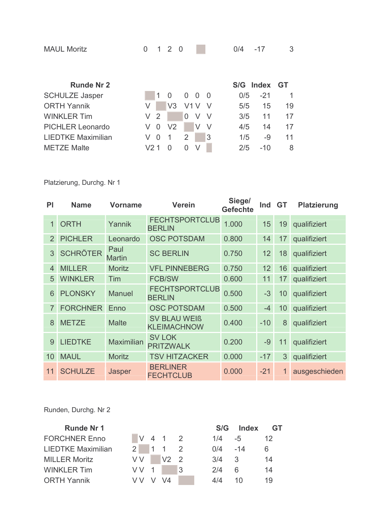| <b>MAUL Moritz</b>        | 0      |   | 120            |          |        |     | 0/4 | $-17$ | 3         |
|---------------------------|--------|---|----------------|----------|--------|-----|-----|-------|-----------|
| <b>Runde Nr 2</b>         |        |   |                |          |        |     | S/G | Index | <b>GT</b> |
| <b>SCHULZE Jasper</b>     |        | 1 | $\Omega$       | 0        | - 0    | - 0 | 0/5 | $-21$ | 1         |
| <b>ORTH Yannik</b>        | V      |   | V <sub>3</sub> | V1 V     |        |     | 5/5 | 15    | 19        |
| <b>WINKLER Tim</b>        | 2<br>V |   |                | $\Omega$ | V      | V   | 3/5 | 11    | 17        |
| <b>PICHLER Leonardo</b>   | V<br>0 |   | V <sub>2</sub> |          | V      | V   | 4/5 | 14    | 17        |
| <b>LIEDTKE Maximilian</b> | V<br>0 |   | 1              | 2        |        | 3   | 1/5 | -9    | 11        |
| <b>METZE Malte</b>        | V2.    |   | O              | O        | $\vee$ |     | 2/5 | -10   | 8         |

Platzierung, Durchg. Nr 1

| <b>PI</b>      | <b>Name</b>     | <b>Vorname</b>        | <b>Verein</b>                             | Siege/<br><b>Gefechte</b> | Ind   | <b>GT</b> | <b>Platzierung</b> |
|----------------|-----------------|-----------------------|-------------------------------------------|---------------------------|-------|-----------|--------------------|
| 1              | <b>ORTH</b>     | Yannik                | <b>FECHTSPORTCLUB</b><br><b>BERLIN</b>    | 1.000                     | 15    | 19        | qualifiziert       |
| $\overline{2}$ | <b>PICHLER</b>  | Leonardo              | <b>OSC POTSDAM</b>                        | 0.800                     | 14    | 17        | qualifiziert       |
| 3              | <b>SCHRÖTER</b> | Paul<br><b>Martin</b> | <b>SC BERLIN</b>                          | 0.750                     | 12    | 18        | qualifiziert       |
| 4              | <b>MILLER</b>   | <b>Moritz</b>         | <b>VFL PINNEBERG</b>                      | 0.750                     | 12    | 16        | qualifiziert       |
| 5              | <b>WINKLER</b>  | Tim                   | <b>FCB/SW</b>                             | 0.600                     | 11    | 17        | qualifiziert       |
| 6              | <b>PLONSKY</b>  | <b>Manuel</b>         | <b>FECHTSPORTCLUB</b><br><b>BERLIN</b>    | 0.500                     | $-3$  | 10        | qualifiziert       |
| $\overline{7}$ | <b>FORCHNER</b> | Enno                  | <b>OSC POTSDAM</b>                        | 0.500                     | $-4$  | 10        | qualifiziert       |
| 8              | <b>METZE</b>    | <b>Malte</b>          | <b>SV BLAU WEIß</b><br><b>KLEIMACHNOW</b> | 0.400                     | $-10$ | 8         | qualifiziert       |
| 9              | <b>LIEDTKE</b>  | <b>Maximilian</b>     | <b>SV LOK</b><br><b>PRITZWALK</b>         | 0.200                     | $-9$  | 11        | qualifiziert       |
| 10             | <b>MAUL</b>     | <b>Moritz</b>         | <b>TSV HITZACKER</b>                      | 0.000                     | $-17$ | 3         | qualifiziert       |
| 11             | <b>SCHULZE</b>  | Jasper                | <b>BERLINER</b><br><b>FECHTCLUB</b>       | 0.000                     | $-21$ |           | ausgeschieden      |

Runden, Durchg. Nr 2

| <b>Runde Nr 1</b>         |                   |              |    | S/G         | Index | - GT            |
|---------------------------|-------------------|--------------|----|-------------|-------|-----------------|
| <b>FORCHNER Enno</b>      |                   | $V 4 1 2$    |    | 1/4         | -5    | 12 <sup>°</sup> |
| <b>LIEDTKE Maximilian</b> | $2 \mid 1 \mid 1$ |              |    | $0/4$ $-14$ |       | 6               |
| <b>MILLER Moritz</b>      | V V               | $\sqrt{2}$ 2 |    | 3/4         | -3    | 14              |
| <b>WINKLER Tim</b>        | VV 1              |              | Ι3 | 2/4         | 6     | 14              |
| <b>ORTH Yannik</b>        | V V               | $V$ $V4$     |    | 4/4         | 10    | 19              |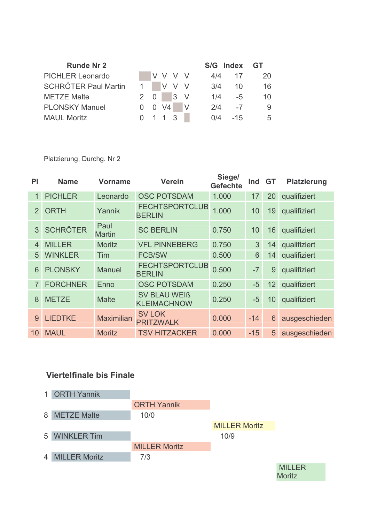| <b>Runde Nr 2</b>           |                            |     |                  |     | S/G Index GT |           |
|-----------------------------|----------------------------|-----|------------------|-----|--------------|-----------|
| <b>PICHLER Leonardo</b>     |                            |     | IV V V V         | 4/4 | 17           | <b>20</b> |
| <b>SCHRÖTER Paul Martin</b> |                            |     | IV V V           | 3/4 | 10           | 16        |
| <b>METZE Malte</b>          | 2 0                        |     | $\overline{3}$ V | 1/4 | -5           | 10        |
| <b>PLONSKY Manuel</b>       | $0 \quad 0 \quad \sqrt{4}$ |     |                  | 2/4 | $-7$         | 9         |
| <b>MAUL Moritz</b>          |                            | 113 |                  | 0/4 | $-15$        | 5         |

Platzierung, Durchg. Nr 2

| PI             | <b>Name</b>     | <b>Vorname</b>        | <b>Verein</b>                             | Siege/<br><b>Gefechte</b> | Ind            | - GT           | <b>Platzierung</b> |
|----------------|-----------------|-----------------------|-------------------------------------------|---------------------------|----------------|----------------|--------------------|
| $\mathbf{1}$   | <b>PICHLER</b>  | Leonardo              | <b>OSC POTSDAM</b>                        | 1.000                     | 17             | 20             | qualifiziert       |
| $\mathcal{P}$  | <b>ORTH</b>     | Yannik                | <b>FECHTSPORTCLUB</b><br><b>BERLIN</b>    | 1.000                     | 10             | 19             | qualifiziert       |
| 3 <sup>1</sup> | <b>SCHRÖTER</b> | Paul<br><b>Martin</b> | <b>SC BERLIN</b>                          | 0.750                     | 10             | 16             | qualifiziert       |
| 4              | <b>MILLER</b>   | <b>Moritz</b>         | <b>VFL PINNEBERG</b>                      | 0.750                     | 3              | 14             | qualifiziert       |
| 5              | <b>WINKLER</b>  | Tim                   | <b>FCB/SW</b>                             | 0.500                     | $6\phantom{1}$ | 14             | qualifiziert       |
| 6              | <b>PLONSKY</b>  | <b>Manuel</b>         | <b>FECHTSPORTCLUB</b><br><b>BERLIN</b>    | 0.500                     | $-7$           | 9              | qualifiziert       |
|                | <b>FORCHNER</b> | Enno                  | <b>OSC POTSDAM</b>                        | 0.250                     | $-5$           | 12             | qualifiziert       |
| 8              | <b>METZE</b>    | <b>Malte</b>          | <b>SV BLAU WEIß</b><br><b>KLEIMACHNOW</b> | 0.250                     | $-5$           | 10             | qualifiziert       |
| 9              | <b>LIEDTKE</b>  | <b>Maximilian</b>     | <b>SV LOK</b><br><b>PRITZWALK</b>         | 0.000                     | $-14$          | 6              | ausgeschieden      |
| 10             | <b>MAUL</b>     | <b>Moritz</b>         | <b>TSV HITZACKER</b>                      | 0.000                     | $-15$          | 5 <sup>5</sup> | ausgeschieden      |

#### **Viertelfinale bis Finale**



**MILLER** Moritz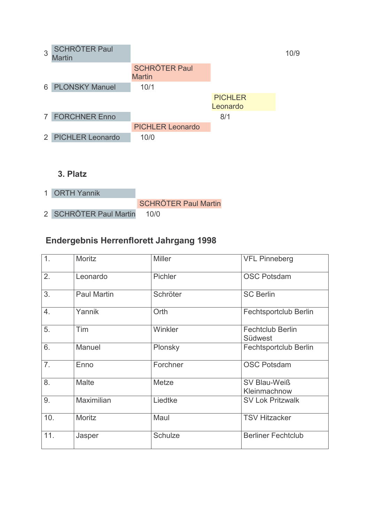| 3              | <b>SCHRÖTER Paul</b><br><b>Martin</b> |                                       |                            | 10/9 |
|----------------|---------------------------------------|---------------------------------------|----------------------------|------|
|                |                                       | <b>SCHRÖTER Paul</b><br><b>Martin</b> |                            |      |
|                | 6 PLONSKY Manuel                      | 10/1                                  |                            |      |
|                |                                       |                                       | <b>PICHLER</b><br>Leonardo |      |
| $\overline{7}$ | <b>FORCHNER Enno</b>                  |                                       | 8/1                        |      |
|                |                                       | <b>PICHLER Leonardo</b>               |                            |      |
|                | 2 PICHLER Leonardo                    | 10/0                                  |                            |      |
|                |                                       |                                       |                            |      |
|                |                                       |                                       |                            |      |
|                | 3. Platz                              |                                       |                            |      |

1 ORTH Yannik **SCHRÖTER Paul Martin** 2 SCHRÖTER Paul Martin  $10/0$ 

### Endergebnis Herrenflorett Jahrgang 1998

| 1.             | Moritz             | <b>Miller</b> | <b>VFL Pinneberg</b>               |
|----------------|--------------------|---------------|------------------------------------|
| 2.             | Leonardo           | Pichler       | <b>OSC Potsdam</b>                 |
| 3.             | <b>Paul Martin</b> | Schröter      | <b>SC Berlin</b>                   |
| 4.             | Yannik             | Orth          | Fechtsportclub Berlin              |
| 5.             | Tim                | Winkler       | <b>Fechtclub Berlin</b><br>Südwest |
| 6.             | Manuel             | Plonsky       | Fechtsportclub Berlin              |
| 7 <sub>1</sub> | Enno               | Forchner      | <b>OSC Potsdam</b>                 |
| 8.             | <b>Malte</b>       | Metze         | SV Blau-Weiß<br>Kleinmachnow       |
| 9.             | Maximilian         | Liedtke       | <b>SV Lok Pritzwalk</b>            |
| 10.            | Moritz             | Maul          | <b>TSV Hitzacker</b>               |
| 11.            | Jasper             | Schulze       | <b>Berliner Fechtclub</b>          |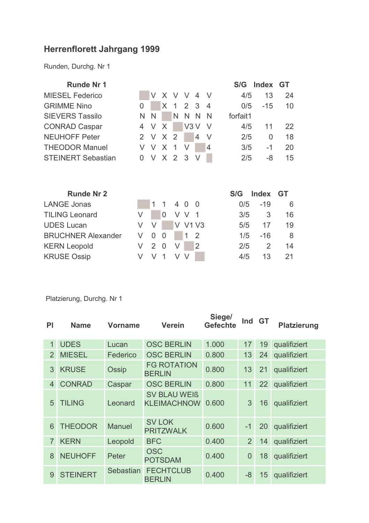# **Herrenflorett Jahrgang 1999**

Runden, Durchg. Nr 1

| <b>Runde Nr 1</b>         |     |     |              |                |                |                |                | S/G      | Index        | GT |
|---------------------------|-----|-----|--------------|----------------|----------------|----------------|----------------|----------|--------------|----|
| <b>MIESEL Federico</b>    |     | V   | $\mathsf{X}$ | $\vee$         | - V            | 4 V            |                | 4/5      | 13           | 24 |
| <b>GRIMME Nino</b>        | 0   |     | X            | $\overline{1}$ | 2 <sub>3</sub> |                | $\overline{4}$ | 0/5      | $-15$        | 10 |
| <b>SIEVERS Tassilo</b>    | N   | - N |              | N              | N              | $\overline{N}$ | $\mathsf{N}$   | forfait1 |              |    |
| <b>CONRAD Caspar</b>      | 4   | - V | X            |                | V3V            |                | -V             | 4/5      | 11           | 22 |
| <b>NEUHOFF Peter</b>      | 2 V |     | $\mathsf{X}$ | $\overline{2}$ |                | 4              | V              | 2/5      | 0            | 18 |
| <b>THEODOR Manuel</b>     | V   | - V | $\mathsf{X}$ | -1             | V              |                | $\overline{4}$ | 3/5      | -1           | 20 |
| <b>STEINERT Sebastian</b> | 0   | V   | X 2 3        |                |                | V              |                | 2/5      | -8           | 15 |
|                           |     |     |              |                |                |                |                |          |              |    |
|                           |     |     |              |                |                |                |                |          |              |    |
| <b>Runde Nr 2</b>         |     |     |              |                |                |                |                | S/G      | <b>Index</b> | GT |

| 1141147.111 E             |               |           |    |  |     |                         |     |
|---------------------------|---------------|-----------|----|--|-----|-------------------------|-----|
| <b>LANGE Jonas</b>        |               | 1 1 4 0 0 |    |  |     | $0/5 -19$               | - 6 |
| <b>TILING Leonard</b>     |               | 0 V V 1   |    |  | 3/5 | $\overline{\mathbf{3}}$ | 16  |
| <b>UDES Lucan</b>         | $V V$ V V1 V3 |           |    |  | 5/5 | 17                      | 19  |
| <b>BRUCHNER Alexander</b> | V 0 0 1 2     |           |    |  | 1/5 | $-16$                   | - 8 |
| <b>KERN Leopold</b>       | V 2 0 V 2     |           |    |  | 2/5 | 2                       | -14 |
| <b>KRUSE Ossip</b>        | $V$ $V$ 1     |           | VV |  | 4/5 | 13                      | 21  |

| <b>PI</b>      | <b>Name</b>     | <b>Vorname</b>   | <b>Verein</b>                             | Siege/<br><b>Gefechte</b> | Ind GT         |    | <b>Platzierung</b> |
|----------------|-----------------|------------------|-------------------------------------------|---------------------------|----------------|----|--------------------|
| 1              | <b>UDES</b>     | Lucan            | <b>OSC BERLIN</b>                         | 1.000                     | 17             | 19 | qualifiziert       |
| $\overline{2}$ | <b>MIESEL</b>   | Federico         | <b>OSC BERLIN</b>                         | 0.800                     | 13             | 24 | qualifiziert       |
| 3              | <b>KRUSE</b>    | Ossip            | <b>FG ROTATION</b><br><b>BERLIN</b>       | 0.800                     | 13             | 21 | qualifiziert       |
| 4              | <b>CONRAD</b>   | Caspar           | <b>OSC BERLIN</b>                         | 0.800                     | 11             | 22 | qualifiziert       |
| 5              | <b>TILING</b>   | Leonard          | <b>SV BLAU WEIß</b><br><b>KLEIMACHNOW</b> | 0.600                     | 3              | 16 | qualifiziert       |
| 6              | <b>THEODOR</b>  | <b>Manuel</b>    | <b>SV LOK</b><br><b>PRITZWALK</b>         | 0.600                     | $-1$           | 20 | qualifiziert       |
| $\overline{7}$ | <b>KERN</b>     | Leopold          | <b>BFC</b>                                | 0.400                     | 2 <sup>1</sup> | 14 | qualifiziert       |
| 8              | <b>NEUHOFF</b>  | Peter            | <b>OSC</b><br><b>POTSDAM</b>              | 0.400                     | $\overline{0}$ | 18 | qualifiziert       |
| 9              | <b>STEINERT</b> | <b>Sebastian</b> | <b>FECHTCLUB</b><br><b>BERLIN</b>         | 0.400                     | $-8$           | 15 | qualifiziert       |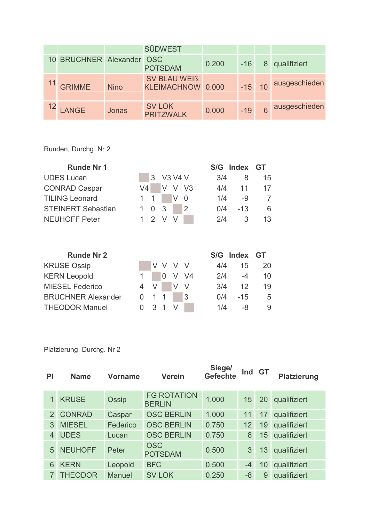|                       |             | <b>SÜDWEST</b>                           |       |       |          |                 |
|-----------------------|-------------|------------------------------------------|-------|-------|----------|-----------------|
| 10 BRUCHNER Alexander |             | <b>OSC</b><br><b>POTSDAM</b>             | 0.200 | $-16$ | 8        | qualifiziert    |
| <sup>11</sup> GRIMME  | <b>Nino</b> | <b>SV BLAU WEIß</b><br>KLEIMACHNOW 0.000 |       |       | $-15$ 10 | ausgeschieden   |
| <b>LANGE</b>          | Jonas       | <b>SV LOK</b><br><b>PRITZWALK</b>        | 0.000 | $-19$ |          | 6 ausgeschieden |

Runden, Durchg. Nr 2

| <b>Runde Nr 1</b>         |             |           |                |                |     | S/G Index GT |    |
|---------------------------|-------------|-----------|----------------|----------------|-----|--------------|----|
| <b>UDES Lucan</b>         |             | 3 V3 V4 V |                |                | 3/4 | 8            | 15 |
| <b>CONRAD Caspar</b>      | V4          | V V V3    |                |                | 4/4 | 11           | 17 |
| <b>TILING Leonard</b>     | $1 \quad 1$ |           | V <sub>0</sub> |                | 1/4 | -9           |    |
| <b>STEINERT Sebastian</b> | $1 \t0 \t3$ |           |                | $\overline{2}$ | 0/4 | $-13$        | 6  |
| <b>NEUHOFF Peter</b>      |             | 1 2 V V   |                |                | 2/4 | 3            | 13 |

|  |             |                 |                                     | 15              | 20                                              |
|--|-------------|-----------------|-------------------------------------|-----------------|-------------------------------------------------|
|  |             |                 |                                     | $-4$            | 10                                              |
|  |             |                 |                                     | 12 <sup>1</sup> | 19                                              |
|  |             |                 |                                     | $-15$           | 5                                               |
|  |             |                 |                                     | -8              | 9                                               |
|  | $0 \t1 \t1$ | $0 \t3 \t1 \tV$ | V V V V<br>0 V V4<br>4 V V V<br>- 3 |                 | S/G Index GT<br>4/4<br>2/4<br>3/4<br>0/4<br>1/4 |

| ΡI             | <b>Name</b>    | <b>Vorname</b> | <b>Verein</b>                       | Siege/<br><b>Gefechte</b> | Ind GT |    | <b>Platzierung</b> |
|----------------|----------------|----------------|-------------------------------------|---------------------------|--------|----|--------------------|
|                | <b>KRUSE</b>   | Ossip          | <b>FG ROTATION</b><br><b>BERLIN</b> | 1.000                     | 15     | 20 | qualifiziert       |
| $\overline{2}$ | <b>CONRAD</b>  | Caspar         | <b>OSC BERLIN</b>                   | 1.000                     | 11     | 17 | qualifiziert       |
| 3              | <b>MIESEL</b>  | Federico       | <b>OSC BERLIN</b>                   | 0.750                     | 12     | 19 | qualifiziert       |
| 4              | <b>UDES</b>    | Lucan          | <b>OSC BERLIN</b>                   | 0.750                     | 8      | 15 | qualifiziert       |
| 5              | <b>NEUHOFF</b> | Peter          | <b>OSC</b><br><b>POTSDAM</b>        | 0.500                     | 3      | 13 | qualifiziert       |
| 6              | <b>KERN</b>    | Leopold        | <b>BFC</b>                          | 0.500                     | $-4$   | 10 | qualifiziert       |
| 7              | <b>THEODOR</b> | <b>Manuel</b>  | <b>SV LOK</b>                       | 0.250                     | -8     | 9  | qualifiziert       |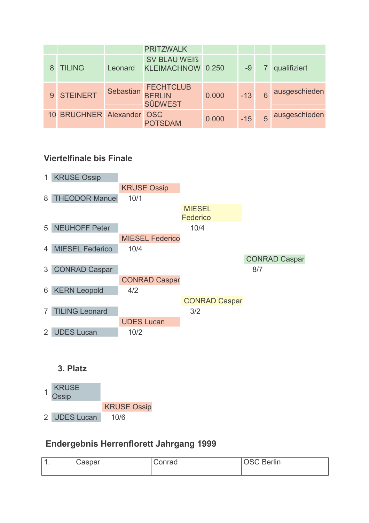|              |                           |           | <b>PRITZWALK</b>                                    |       |       |   |               |
|--------------|---------------------------|-----------|-----------------------------------------------------|-------|-------|---|---------------|
|              | <b>TILING</b>             | Leonard   | <b>SV BLAU WEIß</b><br>KLEIMACHNOW 0.250            |       | -9    |   | qualifiziert  |
| $\mathbf{Q}$ | STEINERT                  | Sebastian | <b>FECHTCLUB</b><br><b>BERLIN</b><br><b>SÜDWEST</b> | 0.000 | $-13$ | 6 | ausgeschieden |
|              | 10 BRUCHNER Alexander OSC |           | <b>POTSDAM</b>                                      | 0.000 | $-15$ | 5 | ausgeschieden |



#### 3. Platz



### **Endergebnis Herrenflorett Jahrgang 1999**

| Caspar | Conrad | <b>OSC Berlin</b> |  |  |
|--------|--------|-------------------|--|--|
|        |        |                   |  |  |